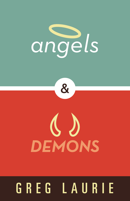



# $\big( \big)$ DEMONS

## GREG LAURIE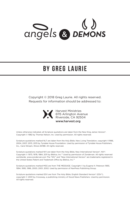

## **by GREG LAURIE**

Copyright © 2018 Greg Laurie. All rights reserved. Requests for information should be addressed to:



Harvest Ministries 6115 Arlington Avenue Riverside, CA 92504 www.harvest.org

Unless otherwise indicated, all Scripture quotations are taken from the New King James Version®. Copyright © 1982 by Thomas Nelson, Inc. Used by permission. All rights reserved.

Scripture quotations marked NLT are taken from the Holy Bible, New Living Translation, copyright ©1996, 2004, 2007, 2013, 2015 by Tyndale House Foundation. Used by permission of Tyndale House Publishers, Inc., Carol Stream, Illinois 60188. All rights reserved.

Scripture quotations marked NIV are taken from the Holy Bible, New International Version®, NIV®. Copyright © 1973, 1978, 1984, 2011 by Biblica, Inc.™ Used by permission of Zondervan. All rights reserved worldwide. www.zondervan.com The "NIV" and "New International Version" are trademarks registered in the United States Patent and Trademark Office by Biblica, Inc.™

Scripture quotations marked MSG are from THE MESSAGE. Copyright © by Eugene H. Peterson 1993, 1994, 1995, 1996, 2000, 2001, 2002. Used by permission of NavPress Publishing Group.

Scripture quotations marked ESV are from The Holy Bible, English Standard Version® (ESV®), copyright © 2001 by Crossway, a publishing ministry of Good News Publishers. Used by permission. All rights reserved.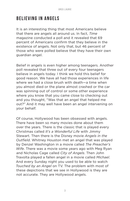## **Believing in Angels**

It is an interesting thing that most Americans believe that there are angels all around us. In fact, *Time* magazine conducted a poll and it revealed that 69 percent of Americans confirm that they believe in the existence of angels. Not only that, but 46 percent of those who were polled believe that they have their own guardian angel.

Belief in angels is even higher among teenagers. Another poll revealed that three out of every four teenagers believe in angels today. I think we hold this belief for good reason. We have all had those experiences in life where we had a close brush with death—a time when you almost died or the plane almost crashed or the car was spinning out of control or some other experience where you know that you came close to checking out and you thought, "Was that an angel that helped me out?" And it may well have been an angel intervening on your behalf.

Of course, Hollywood has been obsessed with angels. There have been so many movies done about them over the years. There is the classic that is played every Christmas called *It's a Wonderful Life* with Jimmy Stewart. Then there is the Disney movie *Angels in the Outfield*. Whitney Houston met an angel that was played by Denzel Washington in a movie called *The Preacher's Wife*. There was a movie some years ago with Meg Ryan and Nicholas Cage called *City of Angels*. Then John Travolta played a fallen angel in a movie called *Michael*. And every Sunday night you used to be able to watch *Touched by an Angel* on TV. The problem with most of these depictions that we see in Hollywood is they are not accurate. They are Hollywood angels.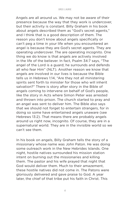Angels are all around us. We may not be aware of their presence because the way that they work is undercover, but their activity is constant. Billy Graham in his book about angels described them as "God's secret agents," and I think that is a good description of them. The reason you don't know about angels specifically or can't peg a time in your life when you encountered an angel is because they are God's secret agents. They are operating undercover. The are operating incognito. One thing we do know is that angels are actively involved in the life of the believer. In fact, Psalm 34:7 says, "The angel of the Lord is a guard; he surrounds and defends all who fear Him" (NLT). Another reason we know that angels are involved in our lives is because the Bible tells us in Hebrews 1:14, "Are they not all ministering spirits sent forth to minister for those who will inherit salvation?" There is story after story in the Bible of angels coming to intervene on behalf of God's people, like the story in Acts where Simon Peter was arrested and thrown into prison. The church started to pray and an angel was sent to deliver him. The Bible also says that we should not forget to entertain strangers, for in doing so some have entertained angels unaware (see Hebrews 13:2). That means there are probably angels around us right now, incognito. Of course, they are in a supernatural world. They are in the invisible world so we can't see them.

In his book on angels, Billy Graham tells the story of a missionary whose name was John Paton. He was doing some outreach work in the New Hebrides Islands. One night, hostile natives surrounded his mission station intent on burning out the missionaries and killing them. The pastor and his wife prayed that night that God would deliver them. Much to their amazement, these hostile natives did not come in. The Patons were gloriously delivered and gave praise to God. A year later, the chief of that tribe put his faith in Christ. This

4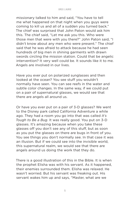missionary talked to him and said, "You have to tell me what happened on that night when you guys were coming to kill us and all of a sudden you turned back." The chief was surprised that John Paton would ask him this. The chief said, "Let me ask you this. Who were those men that were with you there?" John Paton said, "I didn't know about any men who were present." The chief said that he was afraid to attack because he had seen hundreds of big men in shining garments with drawn swords circling the mission station. Could that be angelic intervention? It very well could be. It sounds like it to me. Angels are involved in our lives.

Have you ever put on polarized sunglasses and then looked at the ocean? You see stuff you wouldn't normally have seen. You can see reefs in the water and subtle color changes. In the same way, if we could put on a pair of supernatural glasses, we would see that there are angels all around us.

Or have you ever put on a pair of 3-D glasses? We went to the Disney park called California Adventure a while ago. They had a room you go into that was called *It's Tough to Be a Bug*. It was really good. You put on 3-D glasses. It's amazing because when you take these glasses off you don't see any of this stuff, but as soon as you put the glasses on there are bugs in front of you. You see things you don't normally see. In that case it was an illusion. But if we could see into the invisible world, this supernatural realm, we would see that there are angels around us doing the work that they do.

There is a good illustration of this in the Bible. It is when the prophet Elisha was with his servant. As it happened, their enemies surrounded them. Elisha was relaxed. He wasn't worried. But his servant was freaking out. His servant wakes him up and says, "Master, what are we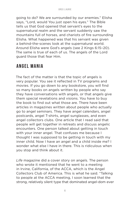going to do? We are surrounded by our enemies." Elisha says, "Lord, would You just open his eyes." The Bible tells us that God opened that servant's eyes to the supernatural realm and the servant suddenly saw the mountains full of horses, and chariots of fire surrounding Elisha. What happened was that his servant was given a behind-the-scenes look at the supernatural world. Around Elisha were God's angels (see 2 Kings 6:15–20). The same is true of each of us. The angels of the Lord guard those that fear Him.

## **Angel Mania**

The fact of the matter is that the topic of angels is very popular. You see it reflected in TV programs and movies. If you go down to any bookstore, you will find so many books on angels written by people who say they have conversations with angels, or that angels give them special revelations and visions. You have to buy the book to find out what those are. There have been articles in magazines written about people who actually go to angel seminars. They have angel calendars, angel postcards, angel T-shirts, angel sunglasses, and even angel collectors clubs. One article that I read said that people will get together in retreats and discuss angelic encounters. One person talked about getting in touch with your inner angel. That confuses me because I thought I was supposed to be getting in touch with my inner child. Now I have an angel and a child inside me? I wonder what else I have in there. This is ridiculous when you stop and think about it.

*Life* magazine did a cover story on angels. The person who wrote it mentioned that he went to a meeting in Irvine, California, of the ACCA, which is the Angel Collectors Club of America. This is what he said. "Talking to people at the ACCA meeting, I soon learned that the strong, relatively silent type that dominated angel-dom ever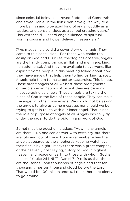since celestial beings destroyed Sodom and Gomorrah and saved Daniel in the lions' den have given way to a more benign and bite-sized kind of angel, cuddly as a lapdog, and conscientious as a school crossing guard." This writer said, "I heard angels likened to spiritual kissing cousins and flower delivery messengers."

*Time* magazine also did a cover story on angels. They came to this conclusion: "For those who choke too easily on God and His rules, theologians observe, angels are the handy compromise, all fluff and meringue, kind, nonjudgmental. And they are available to everyone, like aspirin." Some people in this meeting talked about how they have angels that help them to find parking spaces. Angels help them to make better casseroles. This is nuts. These aren't angels at all. At best these are figments of people's imaginations. At worst they are demons masquerading as angels. These angels are taking the place of God in the lives of these people. They can make the angel into their own image. We should not be asking the angels to give us some message; nor should we be trying to get in touch with our inner angel. That is not the role or purpose of angels at all. Angels basically fly under the radar to do the bidding and work of God.

Sometimes the question is asked, "How many angels are there?" No one can answer with certainty, but there are lots and lots of them. Do you remember when the angels appeared to the shepherds keeping watch over their flocks by night? It says there was a great company of the heavenly host saying, "Glory to God in highest heaven, and peace on earth to those with whom God is pleased" (Luke 2:14 NLT). Daniel 7:10 tells us that there are thousands upon thousands of angels and that ten thousand times ten thousand stood before the Lord. That would be 100 million angels. I think there are plenty to go around.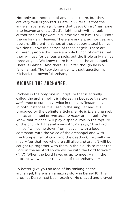Not only are there lots of angels out there, but they are very well organized. 1 Peter 3:22 tells us that the angels have rankings. It says that Jesus Christ "has gone into heaven and is at God's right hand—with angels, authorities and powers in submission to him" (NIV). Note the rankings in Heaven. There are angels, authorities, and powers; different rankings of these supernatural beings. We don't know the names of these angels. There are different people that have a whole bunch of names that they will use for various angels, but the Bible only names three angels. We know there is Michael the archangel. There is Gabriel. And there is Lucifer, though he is a fallen angel. The top-dog angel, without question, is Michael, the powerful archangel.

## **Michael the Archangel**

Michael is the only one in Scripture that is actually called the archangel. It is interesting because this term *archangel* occurs only twice in the New Testament. In both instances it is used in the singular and it is preceded by the definite article *the*. He is *the* archangel, not *an* archangel or *one among many* archangels. We know that Michael will play a special role in the rapture of the church. 1 Thessalonians 4:16–17 says, "The Lord himself will come down from heaven, with a loud command, with the voice of the archangel and with the trumpet call of God, and the dead in Christ will rise first. After that, we who are still alive and are left will be caught up together with them in the clouds to meet the Lord in the air. And so we will be with the Lord forever" (NIV). When the Lord takes us up to meet Him in the rapture, we will hear the voice of the archangel Michael.

To better give you an idea of his ranking as the archangel, there is an amazing story in Daniel 10. The prophet Daniel had been praying. He prayed and prayed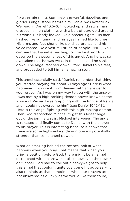for a certain thing. Suddenly a powerful, dazzling, and glorious angel stood before him. Daniel was awestruck. We read in Daniel 10:5–6, "I looked up and saw a man dressed in linen clothing, with a belt of pure gold around his waist. His body looked like a precious gem. His face flashed like lightning, and his eyes flamed like torches. His arms and feet shone like polished bronze, and his voice roared like a vast multitude of people" (NLT). You can see that Daniel is reaching for the best words to describe the awesomeness of this angel. And he was so overtaken that he was weak in the knees and he sank down. The angel reached down, lifted Daniel to his feet, and proceeded to tell him an amazing story.

This angel essentially said, "Daniel, remember that thing you started praying for about 21 days ago? Here is what happened. I was sent from Heaven with an answer to your prayer. As I was on my way to you with the answer, I was met by a high-ranking demon power known as the Prince of Persia. I was grappling with the Prince of Persia and I could not overcome him" (see Daniel 10:12–13). Here is this angel fighting with this high-ranking demon. Then God dispatched Michael to get this lesser angel out of the jam he was in. Michael intervenes. The angel is released and finally comes to Daniel with the answer to his prayer. This is interesting because it shows that there are some high-ranking demon powers potentially stronger than some angel powers.

What an amazing behind-the-scenes look at what happens when you pray. That means that when you bring a petition before God, there might be an angel dispatched with an answer. It also shows you the power of Michael. God had to call out a heavyweight to help this angel that couldn't quite overcome his adversary. It also reminds us that sometimes when our prayers are not answered as quickly as we would like them to be,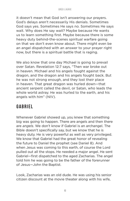it doesn't mean that God isn't answering our prayers. God's delays aren't necessarily His denials. Sometimes God says yes. Sometimes He says no. Sometimes He says wait. Why does He say wait? Maybe because He wants us to learn something first. Maybe because there is some heavy duty behind-the-scenes spiritual warfare going on that we don't even know about. There might even be an angel dispatched with an answer to your prayer right now, but there is a spiritual battle that is raging.

We also know that one day Michael is going to prevail over Satan. Revelation 12:7 says, "Then war broke out in heaven. Michael and his angels fought against the dragon, and the dragon and his angels fought back. But he was not strong enough, and they lost their place in heaven. That great dragon was hurled down—that ancient serpent called the devil, or Satan, who leads the whole world astray. He was hurled to the earth, and his angels with him" (NIV).

## **Gabriel**

Whenever Gabriel showed up, you knew that something big was going to happen. There are angels and then there are *angels*. We don't know if Gabriel is an archangel. The Bible doesn't specifically say, but we know that he is heavy duty. He is very powerful as well as very privileged. We know that Gabriel had the great honor of revealing the future to Daniel the prophet (see Daniel 8). And when Jesus was coming to this earth, of course the Lord pulled out all the stops. He needed a major angel. He sent Gabriel—first dispatched to the aged Zacharias. The angel told him he was going to be the father of the forerunner of Jesus—John the Baptist.

Look, Zacharias was an old dude. He was using his senior citizen discount at the movie theater along with his wife,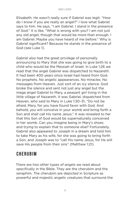Elisabeth. He wasn't really sure if Gabriel was legit. "How do I know if you are really an angel?" I love what Gabriel says to him. He says, "I am Gabriel. I stand in the presence of God." It is like, "What is wrong with you? I am not just any old angel, though that would be more than enough. I am Gabriel. Maybe you have heard of me before." Why is Gabriel significant? Because he stands in the presence of God (see Luke 1).

Gabriel also had the great privilege of personally announcing to Mary that she was going to give birth to a child who would be the Messiah of Israel. In Luke 1:26 we read that the angel Gabriel was dispatched to Nazareth. It had been 400 years since Israel had heard from God. No prophets. No angelic appearances. No miracles. No messages from Heaven. Just sort of an icy silence. God broke the silence and sent not just any angel but the mega angel Gabriel to Mary, a peasant girl living in the little village of Nazareth. It was Gabriel, dispatched from Heaven, who said to Mary in Luke 1:30–31, "Do not be afraid, Mary, for you have found favor with God. And behold, you will conceive in your womb and bring forth a Son and shall call His name Jesus." It was revealed to her that this Son of God would be supernaturally conceived in her womb. Can you imagine being in Mary's shoes and trying to explain that to someone else? Fortunately, Gabriel also appeared to Joseph in a dream and told him to take Mary as his wife, for she was going to bring forth a Son, and Joseph was to "call His name Jesus, for He will save His people from their sins" (Matthew 1:21).

## **Cherubim**

There are two other types of angels we read about specifically in the Bible. They are the cherubim and the seraphim. The cherubim are depicted in Scripture as powerful and majestic angelic creatures that surround the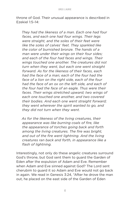throne of God. Their unusual appearance is described in Ezekiel 1:5–14:

*They had the likeness of a man. Each one had four faces, and each one had four wings. Their legs were straight, and the soles of their feet were like the soles of calves' feet. They sparkled like the color of burnished bronze. The hands of a man were under their wings on their four sides; and each of the four had faces and wings. Their wings touched one another. The creatures did not turn when they went, but each one went straight forward. As for the likeness of their faces, each had the face of a man; each of the four had the face of a lion on the right side, each of the four had the face of an ox on the left side, and each of the four had the face of an eagle. Thus were their faces. Their wings stretched upward; two wings of each one touched one another, and two covered their bodies. And each one went straight forward; they went wherever the spirit wanted to go, and they did not turn when they went.* 

*As for the likeness of the living creatures, their appearance was like burning coals of fire, like the appearance of torches going back and forth among the living creatures. The fire was bright, and out of the fire went lightning. And the living creatures ran back and forth, in appearance like a flash of lightning.*

Interestingly, not only do these angelic creatures surround God's throne, but God sent them to guard the Garden of Eden after the expulsion of Adam and Eve. Remember when Adam and Eve sinned against God? The Lord sent cherubim to guard it so Adam and Eve would not go back in again. We read in Genesis 3:24, "After he drove the man out, he placed on the east side of the Garden of Eden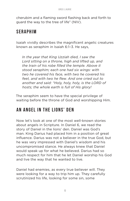cherubim and a flaming sword flashing back and forth to guard the way to the tree of life" (NIV).

## **Seraphim**

Isaiah vividly describes the magnificent angelic creatures known as seraphim in Isaiah 6:1–3. He says,

*In the year that King Uzziah died, I saw the Lord sitting on a throne, high and lifted up, and the train of his robe filled the temple. Above it stood seraphim; each one had six wings: with two he covered his face, with two he covered his feet, and with two he flew. And one cried out to another and said: "Holy, holy, holy, is the LORD of hosts; the whole earth is full of His glory!*

The seraphim seem to have the special privilege of waiting before the throne of God and worshipping Him.

## **An Angel in the Lions' Den**

Now let's look at one of the most well-known stories about angels in Scripture. In Daniel 6, we read the story of Daniel in the lions' den. Daniel was God's man. King Darius had placed him in a position of great influence. Darius was not a believer in the true God, but he was very impressed with Daniel's wisdom and his uncompromised stance. He always knew that Daniel would speak up for what he believed. Darius had so much respect for him that he let Daniel worship his God and live the way that he wanted to live.

Daniel had enemies, as every true believer will. They were looking for a way to trip him up. They carefully scrutinized his life, looking for some sin, some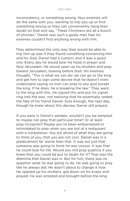inconsistency, or something wrong. Your enemies will do the same with you, wanting to trip you up or find something wrong so they can conveniently hang their doubt on that and say, "These Christians are all a bunch of phonies." Daniel was such a godly man that his enemies couldn't find anything wrong with him.

They determined the only way they would be able to trip him up was if they found something concerning him and his God. Daniel had a custom, and it was a good one. Every day he would bow his head in prayer and face Jerusalem. He would open up his shutters and pray toward Jerusalem, bowing before God. His enemies thought, "This is what we can do: we can go to the king and get him to sign some decree that he doesn't even understand saying no man can pray to any god except the king. If he does, he is breaking the law." They went to the king with this. He signed this and put his signet ring into the wax, not realizing that he essentially sealed the fate of his friend Daniel. Sure enough, the next day, though he knew about this decree, Daniel still prayed.

If you were in Daniel's sandals, wouldn't you be tempted to maybe not pray that particular time? Or at least pray incognito? Maybe you've been embarrassed or intimidated to pray when you are out at a restaurant with a nonbeliever. You are afraid of what they are going to think of you, that you are not cool. Daniel was in a predicament far worse than that. It was not just that someone was going to think he was uncool. It was that he could lose his life. Would you still pray publicly if you knew that you could be put to death for it? That was the dilemma that Daniel was in. But for him, there was no question what he was going to do. He was going to pray like he always did. He wasn't about to change it now. He opened up his shutters, got down on his knees and prayed. He was arrested and brought before the king.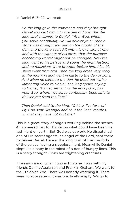In Daniel 6:16–22, we read:

*So the king gave the command, and they brought Daniel and cast him into the den of lions. But the king spoke, saying to Daniel, "Your God, whom you serve continually, He will deliver you." Then a stone was brought and laid on the mouth of the den, and the king sealed it with his own signet ring and with the signets of his lords, that the purpose concerning Daniel might not be changed. Now the king went to his palace and spent the night fasting; and no musicians were brought before him. Also his sleep went from him. Then the king arose very early in the morning and went in haste to the den of lions. And when he came to the den, he cried out with a lamenting voice to Daniel. The king spoke, saying to Daniel, "Daniel, servant of the living God, has your God, whom you serve continually, been able to deliver you from the lions?"* 

*Then Daniel said to the king, "O king, live forever! My God sent His angel and shut the lions' mouths, so that they have not hurt me."*

This is a great story of angels working behind the scenes. All appeared lost for Daniel on what could have been his last night on earth. But God was at work. He dispatched one of His secret agents, an angel of the Lord, sent there to deliver Daniel. Here is the king in all of the comforts of the palace having a sleepless night. Meanwhile Daniel slept like a baby in the midst of a den of hungry lions. This is a scary thought. Lions are frightening creatures.

It reminds me of when I was in Ethiopia. I was with my friends Dennis Agajanian and Franklin Graham. We went to the Ethiopian Zoo. There was nobody watching it. There were no zookeepers. It was practically empty. We go to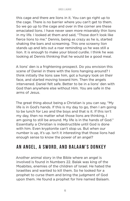this cage and there are lions in it. You can go right up to the cage. There is no barrier where you can't get to them. So we go up to the cage and over in the corner are these emaciated lions. I have never seen more miserably thin lions in my life. I looked at them and said, "Those don't look like fierce lions to me." Dennis, being as crazy as he is, started shaking the bars and screaming. This one scrawny lion stands up and lets out a roar reminding us he was still a lion. It is enough to make your blood curdle. I think he was looking at Dennis thinking that he would be a good meal.

A lions' den is a frightening prospect. Do you envision this scene of Daniel in there with the lions hanging around? I think initially the lions saw him, got a hungry look on their face, and started moving toward him. Then the angels intervened. Daniel felt safe. Better to be in a lions' den with God than anywhere else without Him. You are safe in the arms of Jesus.

The great thing about being a Christian is you can say, "My life is in God's hands. If this is my day to go, then I am going to be lunch for Leo and the boys and that is it. If this isn't my day, then no matter what those lions are thinking, I am going to still be around. My life is in the hands of God." Essentially a Christian is indestructible until God is done with him. Even kryptonite can't stop us. But when our number is up, it's up. Isn't it interesting that those lions had enough sense to know the power of an angel?

## **An Angel, a Sword, and Balaam's Donkey**

Another animal story in the Bible where an angel is involved is found in Numbers 22. Balak was king of the Moabites, enemies of the children of Israel. He hated the Israelites and wanted to kill them. So he looked for a prophet to curse them and bring the judgment of God upon them. He found a prophet for hire named Balaam.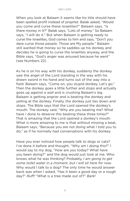When you look at Balaam it seems like his title should have been spelled *profit* instead of *prophet*. Balak asked, "Would you come and curse these Israelites?" Balaam says, "Is there money in it?" Balak says, "Lots of money." So Balaam says, "I will do it." But when Balaam is getting ready to curse the Israelites, God comes to him and says, "Don't you dare curse those people. Those are My people." Balaam still wanted that money so he saddles up his donkey and decides he is going to curse the Israelites anyway, and the Bible says, "God's anger was aroused because he went" (see Numbers 22).

As he is on his way with his donkey, suddenly the donkey saw the angel of the Lord standing in the way with his drawn sword in his hand and turns out of the way into a field. Balaam says, "Come on, you stupid donkey. Let's go." Then the donkey goes a little further and stops and actually goes up against a wall and is crushing Balaam's leg. Balaam is getting angrier and is beating the donkey and yelling at the donkey. Finally, the donkey just lies down and stops. The Bible says that the Lord opened the donkey's mouth. The donkey said, "Why are you beating me? What have I done to deserve this beating these three times?" That is amazing that the Lord opened a donkey's mouth. What is more amazing to me is that without missing a beat, Balaam says, "Because you are not doing what I told you to do," as if he normally had conversations with his donkey.

Have you ever noticed how people talk to dogs or cats? I've done it before and thought, "Why am I doing this?" I would say to my dog, "How are you today? What have you been doing?" and the dog would just look at me. Who knows what he was thinking? Probably, *I am going to get some toilet water in a moment, but I will sit here for now.* Why would I talk to a dog? The only time he would answer back was when I asked, "Has it been a good day or a rough day?" *Ruff!* "What is a tree made out of?" *Bark!*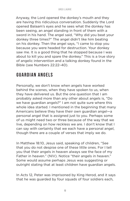Anyway, the Lord opened the donkey's mouth and they are having this ridiculous conversation. Suddenly the Lord opened Balaam's eyes and he sees what the donkey has been seeing, an angel standing in front of them with a sword in his hand. The angel said, "Why did you beat your donkey three times?" The angel didn't like him beating on his donkey. Then the angel says, "I came to stop you because you were headed for destruction. Your donkey saw me. It is a good thing that he stopped because I was about to kill you and spare the donkey." This is a true story of angelic intervention and a talking donkey found in the Bible (see Numbers 22:22–40).

## **Guardian Angels**

Personally, we don't know when angels have worked behind the scenes, when they have spoken to us, when they have delivered us. But the one question that I am probably asked more than any other about angels is, "Do we have guardian angels?" I am not quite sure where this whole idea started. I mentioned in the beginning that many Americans believe they have their own guardian angel—a personal angel that is assigned just to you. Perhaps some of us might need two or three because of the way that we live, depending on how reckless we are. I don't know that I can say with certainty that we each have a personal angel, though there are a couple of verses that imply we do.

In Matthew 18:10, Jesus said, speaking of children, "See that you do not despise one of these little ones. For I tell you that their angels in heaven always see the face of my Father in heaven." (NIV). Notice "their angels in heaven." Some would assume perhaps Jesus was suggesting or outright stating that at least children have guardian angels.

In Acts 12, Peter was imprisoned by King Herod, and it says that he was guarded by four squads of four soldiers each,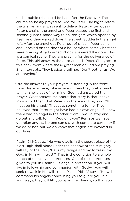until a public trial could be had after the Passover. The church earnestly prayed to God for Peter. The night before the trial, an angel was sent to deliver Peter. After loosing Peter's chains, the angel and Peter passed the first and second guards, made way to an iron gate which opened by itself, and they walked down the street. Suddenly the angel left. After the angel got Peter out of prison, Peter came and knocked on the door of a house where some Christians were praying. A girl named Rhoda answered the door. This is a comical scene. They are praying for the deliverance of Peter. This girl answers the door and it is Peter. She goes to this back room where these great men of God are praying. She interrupts. They basically tell her, "Don't bother us. We are praying."

"But the answer to your prayers is standing in the front room. Peter is here," she answers. Then they pretty much tell her she is out of her mind. God had answered their prayer. What amazes me about that story is that it says Rhoda told them that Peter was there and they said, "It must be his angel." That says something to me. They believed that Peter might have had his own angel. If I knew there was an angel in the other room, I would stop and go out and talk to him. Wouldn't you? Perhaps we have guardian angels. No one can say with complete certainty if we do or not, but we do know that angels are involved in our lives.

Psalm 91:1–2 says, "He who dwells in the secret place of the Most High shall abide under the shadow of the Almighty. I will say of the Lord, 'He is my refuge and my fortress; my God, in Him will I trust.'" That is the condition to a whole bunch of unbelievable promises. One of those promises given to you in Psalm 91 is angelic protection. If you will live in fellowship and communion with God—if you will seek to walk in His will—then, Psalm 91:11–12 says, "He will command his angels concerning you to guard you in all your ways; they will lift you up in their hands, so that you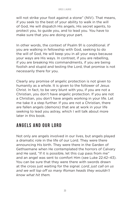will not strike your foot against a stone" (NIV). That means, if you seek to the best of your ability to walk in the will of God, He will dispatch His angels, His secret agents, to protect you, to guide you, and to lead you. You have to make sure that you are doing your part.

In other words, the context of Psalm 91 is conditional. *If* you are walking in fellowship with God, seeking to do the will of God, He will keep you in all your ways because your ways are His ways. In contrast, if you are rebelling, if you are breaking His commandments, if you are being foolish and stupid and testing the Lord, that promise is not necessarily there for you.

Clearly any promise of angelic protection is not given to humanity as a whole. It is given to the follower of Jesus Christ. In fact, to be very blunt with you, if you are not a Christian, you don't have angelic protection. If you are not a Christian, you don't have angels working in your life. Let me take it a step further. If you are not a Christian, there are fallen angels (demons) that are at work in your life seeking to lead you astray, which I will talk about more later in this book.

## **Angels and Our Lord**

Not only are angels involved in our lives, but angels played a dramatic role in the life of our Lord. They were there announcing His birth. They were there in the Garden of Gethsemane when He contemplated the horrors of Calvary and He said, "If it is possible, let this cup pass from me" and an angel was sent to comfort Him (see Luke 22:42–43). You can be sure that they were there with swords drawn at the cross just waiting for the signal. *Lord, just call on us and we will lop off so many Roman heads they wouldn't know what hit them.*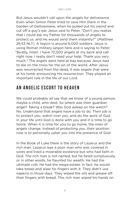But Jesus wouldn't call upon the angels for deliverance. Even when Simon Peter tried to save Him there in the Garden of Gethsemane, when he pulled out his sword and cut off a guy's ear, Jesus said to Peter, "Don't you realize that I could ask my Father for thousands of angels to protect us, and He would send them instantly?" (Matthew 26:53 NLT). A legion is around 6,000 soldiers. Jesus is using Roman military jargon here and is saying to Peter, "Buddy, listen. I have 72,000 angels at my beck and call right now. I really don't need your help. Thank you very much." The angels were held at bay because Jesus had to die on the cross for the sin of the world. After Jesus was resurrected from the dead, it was angels that were at his tomb announcing His resurrection. They played an important role in the life of our Lord.

## **An Angelic Escort to Heaven**

We could probably all say that we know of a young person, maybe a child, who died. So where was their guardian angel? Taking a break? Was God asleep on the watch? No. Understand that angels have a job to do. Their job is to protect you, watch over you, and do the work of God in your life until God is done with you and it is time to go home. When it is time for you to go home, the roles of angels change. Instead of protecting you, their position now is to personally usher you into the presence of God.

In the Book of Luke there is the story of Lazarus and the rich man. Lazarus was a poor man who was covered in sores and lived a miserable existence but who had faith in God. The rich man is not named, but he fared sumptuously, or in other words, he flaunted his wealth. He had the ultimate crib. He had the mega-estate. In fact, he would take bread and wipe his fingers with it. They didn't use napkins in those days. They wiped the oils and grease off their fingers with bread. This rich man wiped his hands on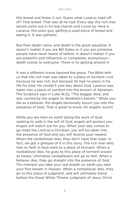this bread and threw it out. Guess what Lazarus lived off of? That bread. That was all he had. Every day the rich man would come out in his big chariot and cruise by. Here is Lazarus, this poor guy, getting a used piece of bread and eating it. It was pathetic.

But then death came, and death is the great equalizer. It doesn't matter if you are Bill Gates or if you are someone people have never heard of before. It doesn't matter if you are powerful and influential or completely anonymous death comes to everyone. There is no getting around it.

It was a different scene beyond the grave. The Bible tells us that the rich man was taken to a place of torment—not because he was rich, but because he had no place in his life for God. He couldn't care less about God. Lazarus was taken into a place of comfort into the bosom of Abraham. The Scripture says in Luke 16:22, "The beggar died, and was carried by the angels to Abraham's bosom." When you die as a believer, the angels personally escort you into the presence of God. That is great to know. An angelic escort.

While you are here on earth doing the work of God, seeking to walk in the will of God, angels will protect you. Angels will watch out for you. When your day comes to go meet the Lord as a Christian, you will be taken into the presence of God and you will receive your reward. When the nonbeliever dies, they don't have that hope. In fact, we got a glimpse of it in this story. The rich man who had no faith in God went to a place of torment. When a nonbeliever dies, he goes to this place of torment known as Hades. Ultimately nonbelievers will go to Hell. When a believer dies, they go straight into the presence of God. The moment you take your last breath on earth you take your first breath in Heaven. When a nonbeliever dies, they go to this place of judgment, and will ultimately stand before the Great White Throne Judgment of Jesus Christ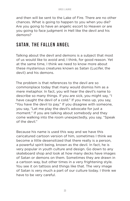and then will be sent to the Lake of Fire. There are no other chances. What is going to happen to you when you die? Are you going to have an angelic escort to Heaven or are you going to face judgment in Hell like the devil and his demons?

## **Satan, the Fallen Angel**

Talking about the devil and demons is a subject that most of us would like to avoid and, I think, for good reason. Yet at the same time, I think we need to know more about these mysterious creatures known as Satan (Lucifer, the devil) and his demons.

The problem is that references to the devil are so commonplace today that many would dismiss him as a mere metaphor. In fact, you will hear the devil's name to describe so many things. If you are sick, you might say, "I have caught the devil of a cold." If you mess up, you say, "You have the devil to pay." If you disagree with someone, you say, "Let me play the devil's advocate for just a moment." If you are talking about somebody and they come walking into the room unexpectedly, you say, "Speak of the devil."

Because his name is used this way and we have this caricatured cartoon version of him, sometimes I think we become a little desensitized that there really is a person, a powerful spirit being, known as the devil. In fact, he is very popular in youth culture and design. Go down to any skateboard shop and look at how many decks have images of Satan or demons on them. Sometimes they are drawn in a cartoon way, but other times in a very frightening style. You see it on tattoos and things like that. The very image of Satan is very much a part of our culture today. I think we have to be very careful.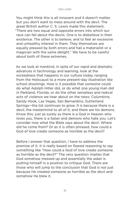You might think this is all innocent and it doesn't matter, but you don't want to mess around with the devil. The great British author C. S. Lewis made this statement, "There are two equal and opposite errors into which our race can fall about the devils. One is to disbelieve in their existence. The other is to believe, and to feel an excessive and unhealthy interest in them. They themselves are equally pleased by both errors and hail a materialist or a magician with the same delight." We have to be careful about both of these extremes.

As we look at mankind, in spite of our rapid and dramatic advances in technology and learning, look at the wickedness that happens in our culture today, ranging from the Holocaust to a more present-day illustration like school shootings. How is it possible that someone could do what Adolph Hitler did, or do what one young man did in Parkland, Florida, or do the other senseless and radical acts of violence we hear about on the news: Columbine, Sandy Hook, Las Vegas, San Bernardino, Sutherland Springs—the list continues to grow. It is because there is a devil, the mastermind to all of it, and there are his demons. Know this: just as surely as there is a God in Heaven who loves you, there is a Satan and demons who hate you. Let's consider now what the Bible says about the devil. Where did he come from? Or as it is often phrased, how could a God of love create someone as horrible as the devil?

Before I answer that question, I have to address the premise of it. It is really based on flawed reasoning to say something like "How could a God of love create someone as horrible as the devil?" The very question implies that God somehow messed up and essentially the asker is putting himself in a position to critique God. There are those who will jump to the conclusion that God is not just because He created someone as horrible as the devil and somehow He blew it.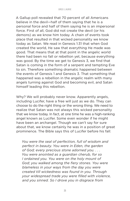A Gallup poll revealed that 70 percent of all Americans believe in the devil—half of them saying that he is a personal force and half of them saying he is an impersonal force. First of all, God did not create the devil (or his demons) as we know him today. A chain of events took place that resulted in that wicked personality we know today as Satan. We read in Genesis 1:31 that when God created the world, He saw that everything He made was good. That means that at that point in the angelic world there had been no fall or rebellion yet, because everything was good. By the time we get to Genesis 3, we find that Satan is coming in the form of a serpent and tempting Eve to sin. Therefore something dramatic happened between the events of Genesis 1 and Genesis 3. That something that happened was a rebellion in the angelic realm with many angels turning against God and becoming evil, and Satan himself leading this rebellion.

Why? We will probably never know. Apparently angels, including Lucifer, have a free will just as we do. They can choose to do the right thing or the wrong thing. We need to realize that Satan was not always this wicked personality that we know today. In fact, at one time he was a high-ranking angel known as Lucifer. Some even wonder if he might have been an archangel. Though we can't say for sure about that, we know certainly he was in a position of great prominence. The Bible says this of Lucifer before his fall:

*You were the seal of perfection, full of wisdom and perfect in beauty. You were in Eden, the garden of God; every precious stone adorned you. . . . You were anointed as a guardian cherub, for so I ordained you. You were on the holy mount of God; you walked among the fiery stones. You were blameless in your ways from the day you were created till wickedness was found in you. Through your widespread trade you were filled with violence, and you sinned. So I drove you in disgrace from*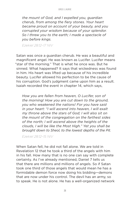*the mount of God, and I expelled you, guardian cherub, from among the fiery stones. Your heart became proud on account of your beauty, and you corrupted your wisdom because of your splendor. So I threw you to the earth; I made a spectacle of you before kings.* 

*Ezekiel 28:12–17 NIV*

Satan was once a guardian cherub. He was a beautiful and magnificent angel. He was known as Lucifer. Lucifer means "star of the morning." That is what he once was. But he sinned. What happened? It says that wickedness was found in him. His heart was lifted up because of his incredible beauty. Lucifer allowed his perfection to be the cause of his corruption. God's judgment came upon him as a result. Isaiah recorded the event in chapter 14, which says,

*How you are fallen from heaven, O Lucifer, son of the morning! How you are cut down to the ground, you who weakened the nations! For you have said in your heart: "I will ascend into heaven, I will exalt my throne above the stars of God; I will also sit on the mount of the congregation on the farthest sides of the north; I will ascend above the heights of the clouds, I will be like the Most High." Yet you shall be brought down to Sheol, to the lowest depths of the Pit.*

*Ezekiel 28:12–15 NIV*

When Satan fell, he did not fall alone. We are told in Revelation 12 that he took a third of the angels with him in his fall. How many that is no one can say with complete certainty. As I've already mentioned, Daniel 7 tells us that there are millions and millions of angels. So if Satan took one third of those angels that would mean he has a formidable demon force now doing his bidding—demons that are now under his control. The devil has an army, so to speak. He is not alone. He has a well-organized network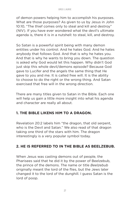of demon powers helping him to accomplish his purposes. What are those purposes? As given to us by Jesus in John 10:10, "The thief comes only to steal and kill and destroy" (NIV). If you have ever wondered what the devil's ultimate agenda is, there it is in a nutshell: to steal, kill, and destroy.

So Satan is a powerful spirit being with many demon entities under his control. And he hates God. And he hates anybody that follows God. And that is why he hates you. And that is why he wants to bring you down. The question is asked why God would let this happen. Why didn't God just skip this whole devil/demons episode? Because God gave to Lucifer and the angels the same thing that He gave to you and me. It is called free will. It is the ability to choose to do the right or the wrong thing. And Satan exercised that free will in the wrong direction.

There are many titles given to Satan in the Bible. Each one will help us gain a little more insight into what his agenda and character are really all about.

#### **1. THE BIBLE LIKENS HIM TO A DRAGON.**

Revelation 20:2 labels him "the dragon, that old serpent, who is the Devil and Satan." We also read of that dragon taking one third of the stars with him. The dragon interestingly is a very popular symbol today.

#### **2. HE IS REFERRED TO IN THE BIBLE AS BEELZEBUB.**

When Jesus was casting demons out of people, the Pharisees said that he did it by the power of Beelzebub, the prince of the demons. The name or title *Beelzebub* originally meant the lord of the flies, but the Jews later changed it to the lord of the dunghill. I guess Satan is the lord of poop.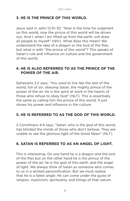#### **3. HE IS THE PRINCE OF THIS WORLD.**

Jesus said in John 12:31–32, "Now is the time for judgment on this world; now the prince of this world will be driven out. And I, when I am lifted up from the earth, will draw all people to myself" (NIV). What does this mean? We understand the idea of a dragon or the lord of the flies, but what is with "the prince of this world"? This speaks of Satan's rule and influence on culture and the government of this world.

#### **4. HE IS ALSO REFERRED TO AS THE PRINCE OF THE POWER OF THE AIR.**

Ephesians 2:2 says, "You used to live like the rest of the world, full of sin, obeying Satan, the mighty prince of the power of the air. He is the spirit at work in the hearts of those who refuse to obey God" (NLT). This is essentially the same as calling him the prince of this world. It just shows his power and influence in the culture.

#### **5. HE IS REFERRED TO AS THE GOD OF THIS WORLD.**

2 Corinthians 4:4 says, "Satan, who is the god of this world, has blinded the minds of those who don't believe. They are unable to see the glorious light of the Good News" (NLT).

#### **6. SATAN IS REFERRED TO AS AN ANGEL OF LIGHT.**

This is interesting. On one hand he is a dragon and the lord of the flies but on the other hand he is the prince of the power of the air, he is the god of this earth, and the angel of light. We always think of Satan as someone who comes to us in a wicked personification. But we must realize that he is a fallen angel. He can come under the guise of religion, mysticism, spirituality, and things of that nature.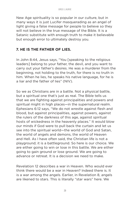New Age spirituality is so popular in our culture, but in many ways it is just Lucifer masquerading as an angel of light giving a false message for people to believe so they will not believe in the true message of the Bible. It is a Satanic substitute with enough truth to make it believable but enough error to ultimately destroy you.

#### **7. HE IS THE FATHER OF LIES.**

In John 8:44, Jesus says, "You [speaking to the religious leaders] belong to your father, the devil, and you want to carry out your father's desires. He was a murderer from the beginning, not holding to the truth, for there is no truth in him. When he lies, he speaks his native language, for he is a liar and the father of lies" (NIV).

So we as Christians are in a battle. Not a physical battle, but a spiritual one that's just as real. The Bible tells us that we are fighting against principalities and powers and spiritual might in high places—in the supernatural realm. Ephesians 6:12 says, "We do not wrestle against flesh and blood, but against principalities, against powers, against the rulers of the darkness of this age, against spiritual hosts of wickedness in the heavenly places." It would blow our minds if God were to pull back the curtain and let us see into the spiritual world—the world of God and Satan, the world of angels and demons, the world of Heaven and Hell. As I have often said, the Christian life is not a playground; it is a battleground. So here is our choice. We are either going to win or lose in this battle. We are either going to gain ground or lose ground. We are going to advance or retreat. It is a decision we need to make.

Revelation 12 describes a war in Heaven. Who would ever think there would be a war in Heaven? Indeed there is. It is a war among the angels. Earlier, in Revelation 8, angels are likened to stars. This is literally "star wars" here. We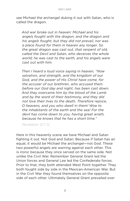see Michael the archangel duking it out with Satan, who is called the dragon.

*And war broke out in heaven: Michael and his angels fought with the dragon; and the dragon and his angels fought, but they did not prevail, nor was a place found for them in heaven any longer. So the great dragon was cast out, that serpent of old, called the Devil and Satan, who deceives the whole world; he was cast to the earth, and his angels were cast out with him.* 

*Then I heard a loud voice saying in heaven, "Now salvation, and strength, and the kingdom of our God, and the power of His Christ have come, for the accuser of our brethren, who accused them before our God day and night, has been cast down. And they overcame him by the blood of the Lamb and by the word of their testimony, and they did not love their lives to the death. Therefore rejoice, O heavens, and you who dwell in them! Woe to the inhabitants of the earth and the sea! For the devil has come down to you, having great wrath, because he knows that he has a short time."*

*Revelation 12:7–12*

Here in this heavenly scene we have Michael and Satan fighting it out. Not God and Satan. Because if Satan has an equal, it would be Michael the archangel—not God. These two powerful angels are warring against each other. This is ironic because they once served on the same side. Not unlike the Civil War. Remember General Grant led the Union forces and General Lee led the Confederate forces. Prior to that, they both attended West Point together. They both fought side by side in the Mexican-American War. But in the Civil War they found themselves on the opposite side of each other. Ultimately General Grant prevailed over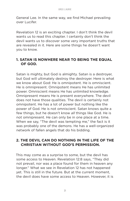General Lee. In the same way, we find Michael prevailing over Lucifer.

Revelation 12 is an exciting chapter. I don't think the devil wants us to read this chapter. I certainly don't think the devil wants us to discover some very important truths that are revealed in it. Here are some things he doesn't want you to know.

#### **1. SATAN IS NOWHERE NEAR TO BEING THE EQUAL OF GOD.**

Satan is mighty, but God is almighty. Satan is a destroyer, but God will ultimately destroy the destroyer. Here is what we know about God: He is omnipotent. He is omniscient. He is omnipresent. Omnipotent means He has unlimited power. Omniscient means He has unlimited knowledge. Omnipresent means He is present everywhere. The devil does not have those qualities. The devil is certainly not omnipotent. He has a lot of power but nothing like the power of God. He is not omniscient. Satan knows quite a few things, but he doesn't know *all* things like God. He is not omnipresent. He can only be in one place at a time. When we say, "The devil was tempting me," the fact is it was probably one of the demons. He has a well-organized network of fallen angels that do his bidding.

#### **2. THE DEVIL CAN DO NOTHING IN THE LIFE OF THE CHRISTIAN WITHOUT GOD'S PERMISSION.**

This may come as a surprise to some, but the devil has some access to Heaven. Revelation 12:8 says, "They did not prevail, nor was a place found for them in heaven any longer." What we see in Revelation 12 has not happened yet. This is still in the future. But at the current moment, the devil does have some access to Heaven. However, it is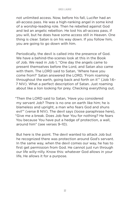not unlimited access. Now, before his fall, Lucifer had an all-access pass. He was a high-ranking angel in some kind of a worship-leading role. Then he rebelled against God and led an angelic rebellion. He lost his all-access pass, if you will, but he does have some access still in Heaven. One thing is clear. Satan is on his way down. If you follow him, you are going to go down with him.

Periodically, the devil is called into the presence of God. We have a behind-the-scenes look at this in the Book of Job. We read in Job 1, "One day the angels came to present themselves before the Lord, and Satan also came with them. The LORD said to Satan, 'Where have you come from?' Satan answered the LORD, 'From roaming throughout the earth, going back and forth on it'" (Job 1:6– 7 NIV). What a perfect description of Satan. Just roaming about like a lion looking for prey. Checking everything out.

"Then the LORD said to Satan, 'Have you considered my servant Job? There is no one on earth like him; he is blameless and upright, a man who fears God and shuns evil'" (verse 8 NIV). The devil says (loose paraphrase here), "Give me a break. Does Job fear You for nothing? He fears You because You have put a hedge of protection, a wall, around him" (see verses 9–10).

But here is the point. The devil wanted to attack Job but he recognized there was protection around God's servant. In the same way, when the devil comes our way, he has to first get permission from God. He cannot just run through our life willy-nilly. Know this: whatever God allows in your life, He allows it for a purpose.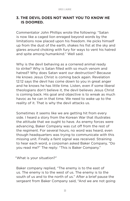#### **3. THE DEVIL DOES NOT WANT YOU TO KNOW HE IS DOOMED.**

Commentator John Phillips wrote the following: "Satan is now like a caged lion enraged beyond words by the limitations now placed upon his freedom. He picks himself up from the dust of the earth, shakes his fist at the sky and glares around choking with fury for ways to vent his hatred and spite among humankind." Well said.

Why is the devil behaving as a cornered animal ready to strike? Why is Satan filled with so much venom and hatred? Why does Satan want our destruction? Because He knows Jesus Christ is coming back again. Revelation 12:12 says the devil has come down to you in great anger and he knows he has little time. Listen, even if some liberal theologians don't believe it, the devil believes Jesus Christ is coming back. His goal and objective is to wreak as much havoc as he can in that time. We need to wake up to the reality of it. That is why the devil attacks us.

Sometimes it seems like we are getting hit from every side. I heard a story from the Korean War that illustrates the attitude that we ought to have. As enemy forces were advancing, Baker Company was cut off from the rest of the regiment. For several hours, no word was heard, even though headquarters was trying to communicate with this missing unit. Finally a faint signal was received. Straining to hear each word, a corpsman asked Baker Company, "Do you read me?" The reply: "This is Baker Company."

"What is your situation?"

Baker company replied, "The enemy is to the east of us. The enemy is to the west of us. The enemy is to the south of us and to the north of us." After a brief pause the sergeant from Baker Company said, "And we are not going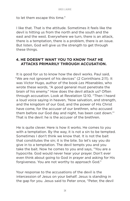to let them escape this time."

I like that. That is the attitude. Sometimes it feels like the devil is hitting us from the north and the south and the east and the west. Everywhere we turn, there is an attack, there is a temptation, there is a problem, there is an issue. But listen, God will give us the strength to get through these things.

#### **4. HE DOESN'T WANT YOU TO KNOW THAT HE ATTACKS PRIMARILY THROUGH ACCUSATION.**

It is good for us to know how the devil works. Paul said, "We are not ignorant of his devices" (2 Corinthians 2:11). It was Victor Hugo, author of the book *Les Miserables*, who wrote these words, "A good general must penetrate the brain of his enemy." How does the devil attack us? Often through accusation. Look at Revelation 12:10. "Then I heard a loud voice saying in heaven, 'Now salvation, and strength, and the kingdom of our God, and the power of His Christ have come, for the accuser of our brethren, who accused them before our God day and night, has been cast down.'" That is the devil: he is the accuser of the brethren.

He is quite clever. Here is how it works. He comes to you with a temptation. By the way, it is not a sin to be tempted. Sometimes I don't think we know that. It is not the bait that constitutes the sin; it is the bite. So let's say you do give in to a temptation. The devil tempts you and you take the bait. Now he comes to you and says, "You are a hypocrite. God would never hear your prayer. Don't ever even think about going to God in prayer and asking for His forgiveness. You are not worthy to approach God."

Your response to the accusations of the devil is the intercession of Jesus on your behalf. Jesus is standing in the gap for you. Jesus said to Peter once, "Peter, the devil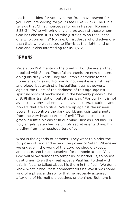has been asking for you by name. But I have prayed for you. I am interceding for you" (see Luke 22:32). The Bible tells us that Christ intercedes for us in Heaven. Romans 8:33–34, "Who will bring any charge against those whom God has chosen. It is God who justifies. Who then is the one who condemns? No one. Christ Jesus who died—more than that, who was raised to life—is at the right hand of God and is also interceding for us" (NIV).

## **Demons**

Revelation 12:4 mentions the one-third of the angels that rebelled with Satan. These fallen angels are now demons doing his dirty work. They are Satan's demonic forces. Ephesians 6:12 says, "For we do not wrestle against flesh and blood, but against principalities, against powers, against the rulers of the darkness of this age, against spiritual hosts of wickedness in the heavenly places." The J. B. Phillips translation puts it this way: "For our fight is not against any physical enemy: it is against organisations and powers that are spiritual. We are up against the unseen power that controls the dark world, and spiritual agents from the very headquarters of evil." That helps us to grasp it a little bit easier in our mind. Just as God has His holy angels, Satan has his unholy secret agents doing his bidding from the headquarters of evil.

What is the agenda of demons? They want to hinder the purposes of God and extend the power of Satan. Whenever we engage in the work of the Lord we should expect, anticipate, and brace ourselves for demonic attack. Yes, God will allow demons to tempt us, to bother us, to harass us at times. Even the great apostle Paul had to deal with this. In fact, he talked about his thorn in the flesh. We don't know what it was. Most commentators believe it was some kind of a physical disability that he probably acquired after one of his multiple beatings or stonings. But here is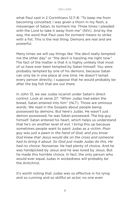what Paul said in 2 Corinthians 12:7–8: "To keep me from becoming conceited, I was given a thorn in my flesh, a messenger of Satan, to torment me. Three times I pleaded with the Lord to take it away from me" (NIV). And by the way, the word that Paul uses for *torment* means to strike with a fist. This is the real thing. Demons are real and are powerful.

Many times we will say things like "the devil really tempted me the other day" or "the devil is hassling me right now." The fact of the matter is that it is highly unlikely that most of us have ever been tempted by Satan himself. You were probably tempted by one of his demons, because Satan can only be in one place at one time. He doesn't tempt every person directly; I suppose that he would probably be after the big fish that are out there.

In John 13, we see Judas Iscariot under Satan's direct control. Look at verse 27: "When Judas had eaten the bread, Satan entered into him" (NLT). Those are ominous words. We read in the Gospels about people being possessed by demons. But here's Judas. He wasn't just demon possessed; he was Satan possessed. The big guy himself. Satan entered his heart, which helps us understand that he's on another level of evil. I bring this up because sometimes people want to paint Judas as a victim. *Poor guy was just a pawn in the hand of God, and you know God knew that Jesus would die on the cross and someone had to bring it about. So God just made Judas do this. He had no choice*. Nonsense. He had plenty of choice. And he was handpicked by Jesus and he was loved by Jesus. But he made this horrible choice. In fact, the only person who would ever equal Judas in wickedness will probably be the Antichrist.

It's worth noting that Judas was so effective in his lying and so cunning and so skillful an actor, no one even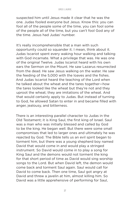suspected him until Jesus made it clear that he was the one. Judas fooled everyone but Jesus. Know this: you can fool all of the people some of the time, you can fool some of the people all of the time, but you can't fool God any of the time. Jesus had Judas' number.

It's really incomprehensible that a man with such opportunity could so squander it. I mean, think about it. Judas Iscariot spent every waking hour walking and talking with God incarnate. What a privilege that was. He was one of the original Twelve. Judas Iscariot heard with his own ears the Sermon on the Mount. He saw Lazarus resurrected from the dead. He saw Jesus walking on the water. He saw the feeding of the 5,000 with the loaves and the fishes. And Judas Iscariot heard the teaching of the Lord when he talked about the wheat and the tares together—how the tares looked like the wheat but they're not and they uproot the wheat; they are imitations of the wheat. And that would certainly apply to Judas. But instead of turning to God, he allowed Satan to enter in and became filled with anger, jealousy, and bitterness.

There is an interesting parallel character to Judas in the Old Testament; it is King Saul, the first king of Israel. Saul was a man who was initially blessed and called by God to be the king. He began well. But there were some small compromises that led to larger ones and ultimately he was rejected by God. The Bible tells us an evil spirit began to torment him, but there was a young shepherd boy named David that would come in and would play a stringed instrument. So David would come in to play a song for King Saul and the demons would not torment the king for that short period of time as David would sing worship songs to the Lord. But when David left, the demon would come back and torment Saul again. Saul would call for David to come back. Then one time, Saul got angry at David and threw a javelin at him, almost killing him. So David was a little apprehensive of performing for Saul,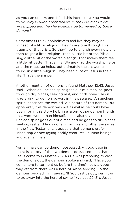as you can understand. I find this interesting. You would think, *Why wouldn't Saul believe in the God that David worshipped and then he wouldn't be tormented by these demons?* 

Sometimes I think nonbelievers feel like they may be in need of a little religion. They have gone through this trauma or that crisis. So they'll go to church every now and then to get a little religion—read a little bit of the Bible, sing a little bit of the worship songs. That makes them feel a little bit better. That's fine. We are glad the worship helps and the message helps, but ultimately the answer isn't found in a little religion. They need a lot of Jesus in their life. That's the answer.

Another mention of demons is found Matthew 12:43. Jesus said, "When an unclean spirit goes out of a man, he goes through dry places, seeking rest, and finds none." Jesus is referring to demon powers in this passage. "An unclean spirit" describes the wicked, vile nature of this demon. But apparently this demon was not as evil as he could have been, for in this story he brings along other demon friends that were worse than himself. Jesus also says that this unclean spirit goes out of a man and he goes to dry places seeking rest and finds none. From this and other passages in the New Testament, it appears that demons prefer inhabiting or occupying bodily creatures—human beings and even animals.

Yes, animals can be demon possessed. A good case in point is a story of the two demon-possessed men that Jesus came to in Matthew 8. As He was preparing to cast the demons out, the demons spoke and said, "'Have you come here to torment us before the time?' Now a good way off from there was a herd of swine feeding. So the demons begged Him, saying, 'If You cast us out, permit us to go away into the herd of swine'" (verses 29–31). Jesus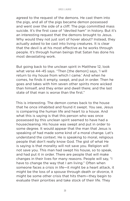agreed to the request of the demons. He cast them into the pigs, and all of the pigs became demon possessed and went over the side of a cliff. The pigs committed mass suicide. It's the first case of "deviled ham" in history. But it's an interesting request that the demons brought to Jesus. Why would they not just sort of hover about? Instead, they actually asked to be cast into living creatures. It is clear that the devil is at his most effective as he works through people. It's through human beings that Satan has done his most devastating work.

But going back to the unclean spirit in Matthew 12, look what verse 44–45 says. "Then [the demon] says, 'I will return to my house from which I came.' And when he comes, he finds it empty, swept, and put in order. Then he goes and takes with him seven other spirits more wicked than himself, and they enter and dwell there; and the last state of that man is worse than the first."

This is interesting. The demon comes back to the house that he once inhabited and found it swept. You see, Jesus is comparing the human life and heart to a house. And what this is saying is that this person who was once possessed by this unclean spirit seemed to have had a housecleaning. His house was swept and put in order to some degree. It would appear that the man that Jesus is speaking of had made some kind of a moral change. Let's understand the context. He is speaking to moral, religious people that don't really know God. The gist of what He is saying is that morality will not save you. Religion will not save you. This man had swept his house, so to speak, and had put it in order. There are people that will make changes in their lives for many reasons. People will say, "I have to change the way that I am living." Often when someone faces a crisis in life—it might be a heart attack, it might be the loss of a spouse through death or divorce, it might be some other crisis that hits them—they begin to evaluate their priorities and take stock of their life. They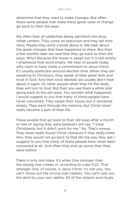determine that they need to make changes. But often these same people that make these great vows of change go back to their old ways.

We often hear of celebrities being admitted into drug rehab centers. They come on television and they tell their story. Maybe they write a book about it. We hear about the great changes that have happened to them. But then a few months later we read that they go back to their old ways. Why? Because the house is swept but it is still empty. I emphasize that word empty. We hear of people today who claim to have made a commitment to Jesus Christ. It's usually politicians around election time. When they are speaking to Christians, they speak of their great faith and trust in God. And then once elected, we usually don't hear about it again. Or other people when they hit the skids, they will turn to God. But then you see them a while later going back to the old ways. You wonder what happened. I would suggest to you that many of these people have never converted. They swept their house, but it remained empty. They went through the motions, but Christ never really became a part of their life.

These people that go back to their old ways after a month or two of saying they were believers will say, "I tried Christianity, but it didn't work for me." No. That's wrong. They never really found Christ—because if they really knew Him, they would not go back to that life the way they did. I suggest to you that many of these people have never been converted at all. And often they end up worse than they were before.

There is only one hope. It's when One stronger than the strong man comes in, according to Luke 11:22. That stronger One, of course, is Jesus Christ. It's not you. You can't throw out the strong man (Satan). You can't cast out the devil by your own ability. All of the religion and rituals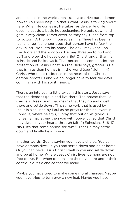and incense in the world aren't going to drive out a demon power. You need help. So that's what Jesus is talking about here. When He comes in, He takes residence. And He doesn't just do a basic housecleaning. He gets down and gets it very clean. *Dutch clean*, as they say. Clean from top to bottom. A thorough housecleaning. There has been a real change. No longer does that person have to fear the devil's intrusion into his home. The devil may knock on the doors and the windows. He may threaten to huff and puff and blow the house down. But One stronger than he is inside and he knows it. That person has come under the protection of Jesus Christ. As the Bible says, greater is He that is in us than he that is in the world (see 1 John 4:4). Christ, who takes residence in the heart of the Christian, demon-proofs us and we no longer have to fear the devil coming in with his spirit friends.

There's an interesting little twist in this story. Jesus says that the demons go in and live there. The phrase that He uses is a Greek term that means that they go and dwell there and settle down. This same verb that is used by Jesus is also used by Paul as he prays for the believers in Ephesus, where he says, "I pray that out of his glorious riches he may strengthen you with power . . . so that Christ may dwell in your hearts through faith" (Ephesians 3:16–17 NIV). It's that same phrase for *dwell*. That He may settle down and finally be at home.

In other words, God is saying you have a choice. You can have demons dwell in you and settle down and be at home. Or you can have Jesus Christ dwell in you and settle down and be at home. Where Jesus Christ lives, demons are not free to live. But when demons are there, you are under their control. So it's a choice that we make.

Maybe you have tried to make some moral changes. Maybe you have tried to turn over a new leaf. Maybe you have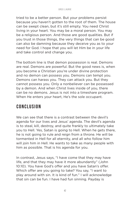tried to be a better person. But your problems persist because you haven't gotten to the root of them. The house can be swept clean, but it's still empty. You need Christ living in your heart. You may be a moral person. You may be a religious person. And those are good qualities. But if you trust in those things, the very things that can be good can also be damning because they deceive you as to your need for God. I hope that you will let Him be in your life and take control and change you.

The bottom line is that demon possession is real. Demons are real. Demons are powerful. But the good news is, when you become a Christian you're under divine protection and no demon can possess you. Demons can tempt you. Demons can harass you. They can attack you. But they cannot possess you. Only a nonbeliever can be possessed by a demon. And when Christ lives inside of you, there can be no demons. Jesus is not into a timeshare program. When He enters your heart, He's the sole occupant.

## **Conclusion**

We can see that there is a contrast between the devil's agenda for our lives and Jesus' agenda. The devil's agenda is to steal, kill, destroy, and quite frankly to ultimately take you to Hell. Yes, Satan is going to Hell. When he gets there, he is not going to rule and reign from a throne. He will be tormented in Hell for all eternity, and all who follow him will join him in Hell. He wants to take as many people with him as possible. That is his agenda for you.

In contrast, Jesus says, "I have come that they may have life, and that they may have it more abundantly" (John 10:10). You have God's offer and you have Satan's offer. Which offer are you going to take? You say, "I want to play around with sin. It is kind of fun." I will acknowledge that sin can be fun. I have had fun sinning. Payday is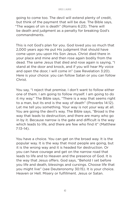going to come too. The devil will extend plenty of credit, but think of the payment that will be due. The Bible says, "The wages of sin is death" (Romans 6:23). There will be death and judgment as a penalty for breaking God's commandments.

This is not God's plan for you. God loved you so much that 2,000 years ago He put His judgment that should have come upon you upon His Son Jesus. Christ died there in your place and mine and then rose again bodily from the dead. The same Jesus that died and rose again is saying, "I stand at the door and knock, and if you will hear My voice and open the door, I will come in" (see Revelation 3:20). Here is your choice: you can follow Satan or you can follow Christ.

You say, "I reject that premise. I don't want to follow either one of them. I am going to follow myself. I am going to do it my way." The Bible says, "There is a way that seems right to a man, but its end is the way of death" (Proverbs 14:12). Let me tell you something. Your way is not your way at all. You are going the devil's way. The Bible says, "Broad is the way that leads to destruction, and there are many who go in by it. Because narrow is the gate and difficult is the way which leads to life, and there are few who find it" (Matthew 7:13–14).

You have a choice. You can get on the broad way. It is the popular way. It is the way that most people are going, but it is the wrong way and it is headed for destruction. Or you can have courage and get on the narrow road that leads to life and to Heaven and the presence of God. It is the way that Jesus offers. God says, "Behold I set before you life and death, blessings and cursings. Choose life that you might live" (see Deuteronomy 30:15). It is your choice. Heaven or Hell. Misery or fulfillment. Jesus or Satan.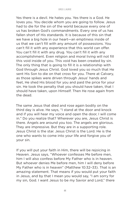Yes there is a devil. He hates you. Yes there is a God. He loves you. You decide whom you are going to follow. Jesus had to die for the sin of the world because every one of us has broken God's commandments. Every one of us has fallen short of His standards. It is because of this sin that we have a big hole in our heart—an emptiness inside of us that we can't fill with any amount of possessions. You can't fill it with any experience that this world can offer. You can't fill it with any drug. You can't fill it with any accomplishment. Even religion and moral living will not fill this void inside of you. This void has been created by sin. The only thing that is going to fill it is a relationship with God through Jesus Christ. God loved you so much that He sent His Son to die on that cross for you. There at Calvary, as those spikes were driven through Jesus' hands and feet, He shed His blood for you and paid the price for your sin. He took the penalty that you should have taken, that I should have taken, upon Himself. Then He rose again from the dead.

The same Jesus that died and rose again bodily on the third day is alive. He says, "I stand at the door and knock and if you will hear my voice and open the door, I will come in." Do you realize that? Wherever you are, Jesus Christ is there. Angels are around you too. The angels are glorious. They are impressive. But they are in a supporting role. Jesus Christ is the star. Jesus Christ is the Lord. He is the one who wants to come into your life and forgive you of your sin.

If you will put your faith in Him, there will be rejoicing in Heaven. Jesus says, "Whoever confesses Me before men, him I will also confess before My Father who is in heaven. But whoever denies Me before men, him I will deny before My Father who is in heaven" (Matthew 10:32–33). That is an amazing statement. That means if you would put your faith in Jesus, and by that I mean you would say, "I am sorry for my sin, God. I want Jesus to be my Savior and Lord," there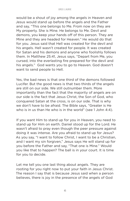would be a shout of joy among the angels in Heaven and Jesus would stand up before the angels and the Father and say, "This one belongs to Me. From now on they are My property. She is Mine. He belongs to Me. Devil and demons, you keep your hands off of this person. They are Mine and they are headed for Heaven." He would do that for you. Jesus said that Hell was created for the devil and his angels. Hell wasn't created for people. It was created for Satan and his demons and anyone who foolishly follows them. In Matthew 25:41, Jesus says, "Depart from Me, you cursed, into the everlasting fire prepared for the devil and his angels." God wants you to go to Heaven. God doesn't want to send people to Hell.

Yes, the bad news is that one third of the demons followed Lucifer. But the good news is that two thirds of the angels are still on our side. We still outnumber them. More importantly than the fact that the majority of angels are on our side is the fact that Jesus Christ, the Son of God, who conquered Satan at the cross, is on our side. That is why we don't have to be afraid. The Bible says, "Greater is He who is in us than He who is in the world" (see 1 John 4:4).

If you want Him to stand up for you in Heaven, you need to stand up for Him on earth. Daniel stood up for the Lord. He wasn't afraid to pray even though the peer pressure against doing it was intense. Are you afraid to stand up for Jesus? As you say, "I want to follow Christ, I want to be a Christian, and I want my sin forgiven," Jesus says He will stand up for you before the Father and say, "That one is Mine." Would you like that to happen? The ball is in your court. It is time for you to decide.

Let me tell you one last thing about angels. They are rooting for you right now to put your faith in Jesus Christ. The reason I say that is because Jesus said when a person believes, there is joy in the presence of the angels of God